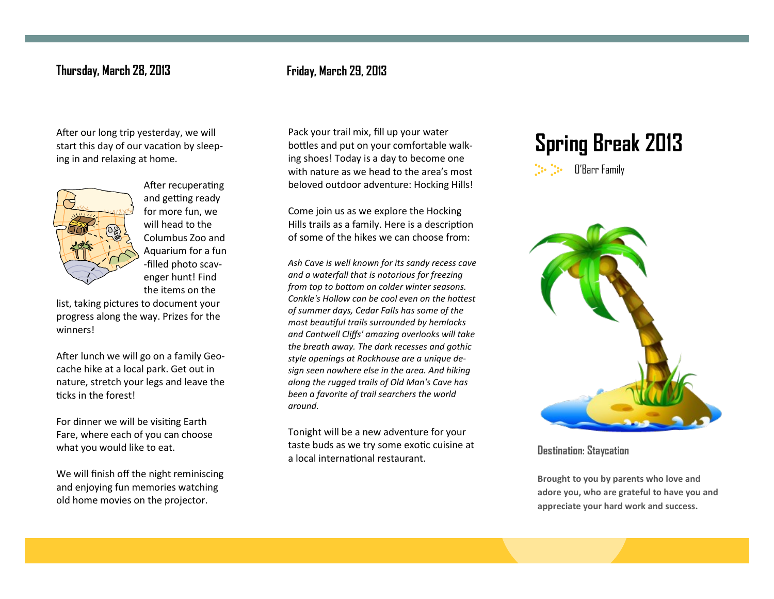## **Thursday, March 28, 2013 Friday, March 29, 2013**

## start this day of our vacation by sleeping in and relaxing at home.



After recuperating and getting ready for more fun, we will head to the Columbus Zoo and Aquarium for a fun -filled photo scavenger hunt! Find the items on the

list, taking pictures to document your progress along the way. Prizes for the winners!

After lunch we will go on a family Geocache hike at a local park. Get out in nature, stretch your legs and leave the ticks in the forest!

For dinner we will be visiting Earth Fare, where each of you can choose what you would like to eat.

We will finish off the night reminiscing and enjoying fun memories watching old home movies on the projector.

After our long trip yesterday, we will **Pack your trail mix, fill up your water** Spring Break 2013<br>Surt this day of our vacation by sleep-**recover the start of our comfortable walk-**Pack your trail mix, fill up your water bottles and put on your comfortable walking shoes! Today is a day to become one with nature as we head to the area's most beloved outdoor adventure: Hocking Hills!

> Come join us as we explore the Hocking Hills trails as a family. Here is a description of some of the hikes we can choose from:

*Ash Cave is well known for its sandy recess cave and a waterfall that is notorious for freezing from top to bottom on colder winter seasons. Conkle's Hollow can be cool even on the hottest of summer days, Cedar Falls has some of the most beautiful trails surrounded by hemlocks and Cantwell Cliffs' amazing overlooks will take the breath away. The dark recesses and gothic style openings at Rockhouse are a unique design seen nowhere else in the area. And hiking along the rugged trails of Old Man's Cave has been a favorite of trail searchers the world around.*

Tonight will be a new adventure for your taste buds as we try some exotic cuisine at a local international restaurant.

# O'Barr Family



**Destination: Staycation**

**Brought to you by parents who love and adore you, who are grateful to have you and appreciate your hard work and success.**